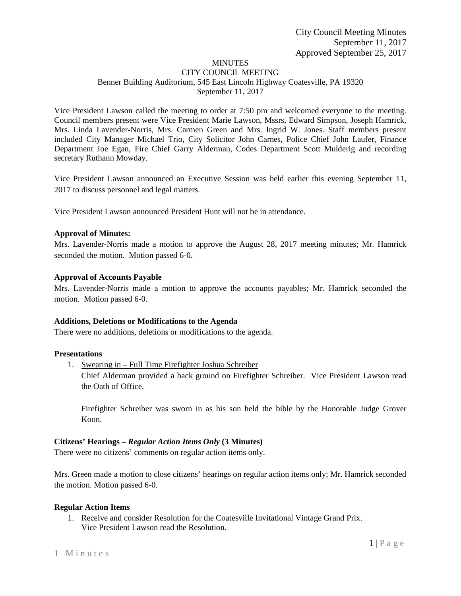# MINUTES

#### CITY COUNCIL MEETING Benner Building Auditorium, 545 East Lincoln Highway Coatesville, PA 19320 September 11, 2017

Vice President Lawson called the meeting to order at 7:50 pm and welcomed everyone to the meeting. Council members present were Vice President Marie Lawson, Mssrs, Edward Simpson, Joseph Hamrick, Mrs. Linda Lavender-Norris, Mrs. Carmen Green and Mrs. Ingrid W. Jones. Staff members present included City Manager Michael Trio, City Solicitor John Carnes, Police Chief John Laufer, Finance Department Joe Egan, Fire Chief Garry Alderman, Codes Department Scott Mulderig and recording secretary Ruthann Mowday.

Vice President Lawson announced an Executive Session was held earlier this evening September 11, 2017 to discuss personnel and legal matters.

Vice President Lawson announced President Hunt will not be in attendance.

### **Approval of Minutes:**

Mrs. Lavender-Norris made a motion to approve the August 28, 2017 meeting minutes; Mr. Hamrick seconded the motion. Motion passed 6-0.

### **Approval of Accounts Payable**

Mrs. Lavender-Norris made a motion to approve the accounts payables; Mr. Hamrick seconded the motion. Motion passed 6-0.

### **Additions, Deletions or Modifications to the Agenda**

There were no additions, deletions or modifications to the agenda.

### **Presentations**

1. Swearing in – Full Time Firefighter Joshua Schreiber

Chief Alderman provided a back ground on Firefighter Schreiber. Vice President Lawson read the Oath of Office.

Firefighter Schreiber was sworn in as his son held the bible by the Honorable Judge Grover Koon.

### **Citizens' Hearings –** *Regular Action Items Only* **(3 Minutes)**

There were no citizens' comments on regular action items only.

Mrs. Green made a motion to close citizens' hearings on regular action items only; Mr. Hamrick seconded the motion. Motion passed 6-0.

# **Regular Action Items**

1. Receive and consider Resolution for the Coatesville Invitational Vintage Grand Prix. Vice President Lawson read the Resolution.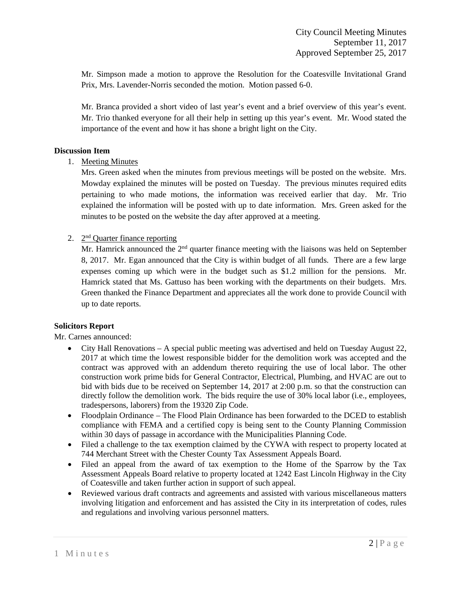Mr. Simpson made a motion to approve the Resolution for the Coatesville Invitational Grand Prix, Mrs. Lavender-Norris seconded the motion. Motion passed 6-0.

Mr. Branca provided a short video of last year's event and a brief overview of this year's event. Mr. Trio thanked everyone for all their help in setting up this year's event. Mr. Wood stated the importance of the event and how it has shone a bright light on the City.

### **Discussion Item**

1. Meeting Minutes

Mrs. Green asked when the minutes from previous meetings will be posted on the website. Mrs. Mowday explained the minutes will be posted on Tuesday. The previous minutes required edits pertaining to who made motions, the information was received earlier that day. Mr. Trio explained the information will be posted with up to date information. Mrs. Green asked for the minutes to be posted on the website the day after approved at a meeting.

### 2. 2nd Quarter finance reporting

Mr. Hamrick announced the 2<sup>nd</sup> quarter finance meeting with the liaisons was held on September 8, 2017. Mr. Egan announced that the City is within budget of all funds. There are a few large expenses coming up which were in the budget such as \$1.2 million for the pensions. Mr. Hamrick stated that Ms. Gattuso has been working with the departments on their budgets. Mrs. Green thanked the Finance Department and appreciates all the work done to provide Council with up to date reports.

### **Solicitors Report**

Mr. Carnes announced:

- City Hall Renovations A special public meeting was advertised and held on Tuesday August 22, 2017 at which time the lowest responsible bidder for the demolition work was accepted and the contract was approved with an addendum thereto requiring the use of local labor. The other construction work prime bids for General Contractor, Electrical, Plumbing, and HVAC are out to bid with bids due to be received on September 14, 2017 at 2:00 p.m. so that the construction can directly follow the demolition work. The bids require the use of 30% local labor (i.e., employees, tradespersons, laborers) from the 19320 Zip Code.
- Floodplain Ordinance The Flood Plain Ordinance has been forwarded to the DCED to establish compliance with FEMA and a certified copy is being sent to the County Planning Commission within 30 days of passage in accordance with the Municipalities Planning Code.
- Filed a challenge to the tax exemption claimed by the CYWA with respect to property located at 744 Merchant Street with the Chester County Tax Assessment Appeals Board.
- Filed an appeal from the award of tax exemption to the Home of the Sparrow by the Tax Assessment Appeals Board relative to property located at 1242 East Lincoln Highway in the City of Coatesville and taken further action in support of such appeal.
- Reviewed various draft contracts and agreements and assisted with various miscellaneous matters involving litigation and enforcement and has assisted the City in its interpretation of codes, rules and regulations and involving various personnel matters.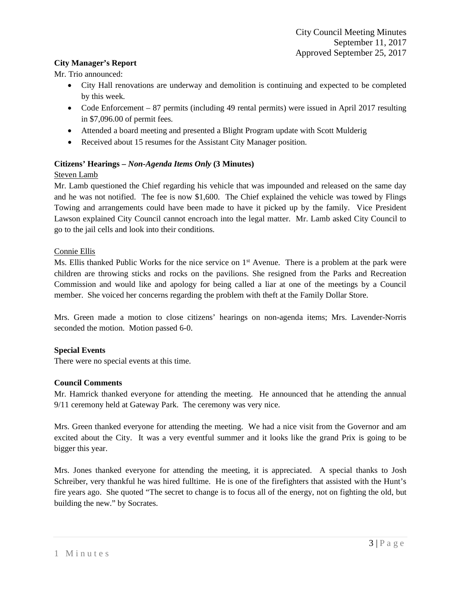### **City Manager's Report**

Mr. Trio announced:

- City Hall renovations are underway and demolition is continuing and expected to be completed by this week.
- Code Enforcement 87 permits (including 49 rental permits) were issued in April 2017 resulting in \$7,096.00 of permit fees.
- Attended a board meeting and presented a Blight Program update with Scott Mulderig
- Received about 15 resumes for the Assistant City Manager position.

# **Citizens' Hearings –** *Non-Agenda Items Only* **(3 Minutes)**

### Steven Lamb

Mr. Lamb questioned the Chief regarding his vehicle that was impounded and released on the same day and he was not notified. The fee is now \$1,600. The Chief explained the vehicle was towed by Flings Towing and arrangements could have been made to have it picked up by the family. Vice President Lawson explained City Council cannot encroach into the legal matter. Mr. Lamb asked City Council to go to the jail cells and look into their conditions.

### Connie Ellis

Ms. Ellis thanked Public Works for the nice service on 1<sup>st</sup> Avenue. There is a problem at the park were children are throwing sticks and rocks on the pavilions. She resigned from the Parks and Recreation Commission and would like and apology for being called a liar at one of the meetings by a Council member. She voiced her concerns regarding the problem with theft at the Family Dollar Store.

Mrs. Green made a motion to close citizens' hearings on non-agenda items; Mrs. Lavender-Norris seconded the motion. Motion passed 6-0.

# **Special Events**

There were no special events at this time.

# **Council Comments**

Mr. Hamrick thanked everyone for attending the meeting. He announced that he attending the annual 9/11 ceremony held at Gateway Park. The ceremony was very nice.

Mrs. Green thanked everyone for attending the meeting. We had a nice visit from the Governor and am excited about the City. It was a very eventful summer and it looks like the grand Prix is going to be bigger this year.

Mrs. Jones thanked everyone for attending the meeting, it is appreciated. A special thanks to Josh Schreiber, very thankful he was hired fulltime. He is one of the firefighters that assisted with the Hunt's fire years ago. She quoted "The secret to change is to focus all of the energy, not on fighting the old, but building the new." by Socrates.